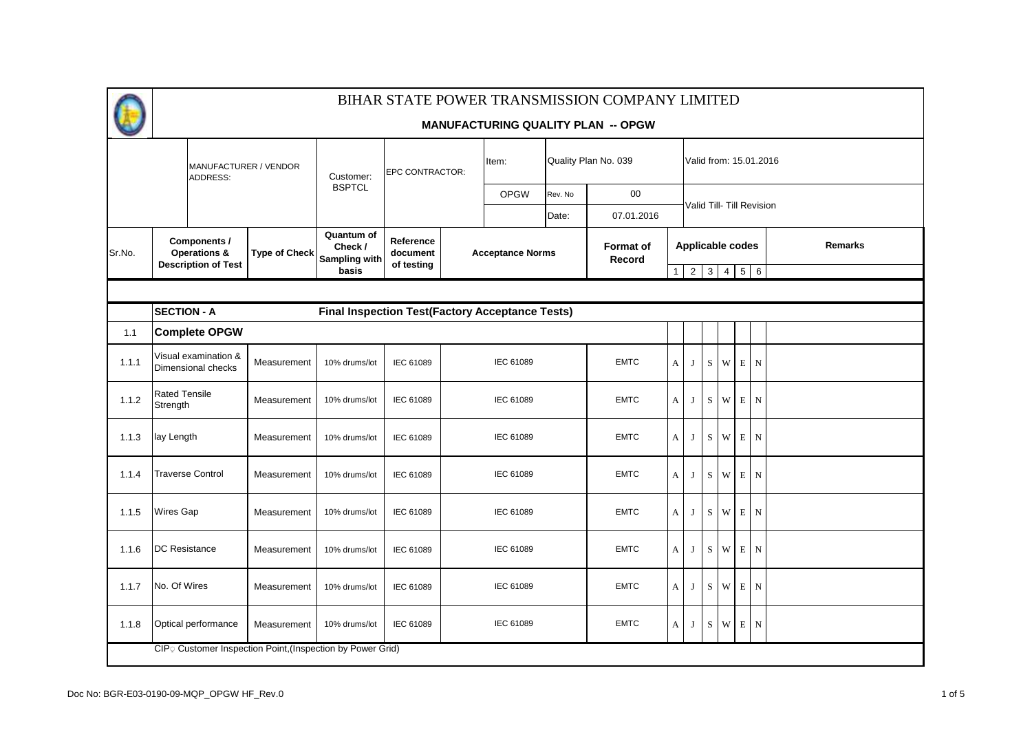|        |                                                                        |                      |                                                        |                       |  |                         |                      | BIHAR STATE POWER TRANSMISSION COMPANY LIMITED |                |                           |                                 |                         |             |             |         |  |  |  |  |
|--------|------------------------------------------------------------------------|----------------------|--------------------------------------------------------|-----------------------|--|-------------------------|----------------------|------------------------------------------------|----------------|---------------------------|---------------------------------|-------------------------|-------------|-------------|---------|--|--|--|--|
|        |                                                                        |                      |                                                        |                       |  |                         |                      | <b>MANUFACTURING QUALITY PLAN -- OPGW</b>      |                |                           |                                 |                         |             |             |         |  |  |  |  |
|        | MANUFACTURER / VENDOR<br>ADDRESS:                                      |                      | Customer:                                              | EPC CONTRACTOR:       |  | Item:                   | Quality Plan No. 039 |                                                |                | Valid from: 15.01.2016    |                                 |                         |             |             |         |  |  |  |  |
|        |                                                                        |                      | <b>BSPTCL</b>                                          |                       |  | <b>OPGW</b>             | Rev. No              | $00\,$                                         |                |                           |                                 |                         |             |             |         |  |  |  |  |
|        |                                                                        |                      |                                                        |                       |  |                         | Date:                | 07.01.2016                                     |                | Valid Till- Till Revision |                                 |                         |             |             |         |  |  |  |  |
| Sr.No. | Components /<br>Operations &                                           | <b>Type of Check</b> | Quantum of<br>Check /<br>Sampling with                 | Reference<br>document |  | <b>Acceptance Norms</b> |                      | <b>Format of</b><br>Record                     |                |                           |                                 | <b>Applicable codes</b> |             |             | Remarks |  |  |  |  |
|        | <b>Description of Test</b>                                             |                      | basis                                                  | of testing            |  |                         |                      |                                                | $\mathbf{1}$   |                           | $2 \mid 3 \mid 4 \mid 5 \mid 6$ |                         |             |             |         |  |  |  |  |
|        |                                                                        |                      |                                                        |                       |  |                         |                      |                                                |                |                           |                                 |                         |             |             |         |  |  |  |  |
|        | <b>SECTION - A</b>                                                     |                      | <b>Final Inspection Test(Factory Acceptance Tests)</b> |                       |  |                         |                      |                                                |                |                           |                                 |                         |             |             |         |  |  |  |  |
| 1.1    | <b>Complete OPGW</b>                                                   |                      |                                                        |                       |  |                         |                      |                                                |                |                           |                                 |                         |             |             |         |  |  |  |  |
| 1.1.1  | Visual examination &<br>Dimensional checks                             | Measurement          | 10% drums/lot                                          | IEC 61089             |  | IEC 61089               |                      | <b>EMTC</b>                                    | $\mathbf{A}$   | J                         | S                               | W.                      | $\,$ E      | N           |         |  |  |  |  |
| 1.1.2  | <b>Rated Tensile</b><br>Strength                                       | Measurement          | 10% drums/lot                                          | IEC 61089             |  | IEC 61089               |                      | <b>EMTC</b>                                    | $\mathbf{A}$   | J                         | S                               | W                       | E           | $\mathbf N$ |         |  |  |  |  |
| 1.1.3  | lay Length                                                             | Measurement          | 10% drums/lot                                          | IEC 61089             |  | IEC 61089               |                      | <b>EMTC</b>                                    | A              | J                         | S                               | W                       | $\mathbf E$ | $\mathbf N$ |         |  |  |  |  |
| 1.1.4  | <b>Traverse Control</b>                                                | Measurement          | 10% drums/lot                                          | IEC 61089             |  | IEC 61089               |                      | <b>EMTC</b>                                    | $\overline{A}$ | J                         | S.                              | W                       | E           | $\mathbf N$ |         |  |  |  |  |
| 1.1.5  | <b>Wires Gap</b>                                                       | Measurement          | 10% drums/lot                                          | IEC 61089             |  | IEC 61089               |                      | <b>EMTC</b>                                    | A              | J                         | S                               | W                       | E           | N           |         |  |  |  |  |
| 1.1.6  | <b>DC Resistance</b>                                                   | Measurement          | 10% drums/lot                                          | IEC 61089             |  | IEC 61089               |                      | <b>EMTC</b>                                    | $\mathbf{A}$   | J                         | S                               | W                       | $\mathbf E$ | $\mathbf N$ |         |  |  |  |  |
| 1.1.7  | No. Of Wires                                                           | Measurement          | 10% drums/lot                                          | IEC 61089             |  | IEC 61089               |                      | <b>EMTC</b>                                    | $\mathbf{A}$   | J                         | S                               | W                       | $\,$ E      | N           |         |  |  |  |  |
| 1.1.8  | Optical performance                                                    | Measurement          | 10% drums/lot                                          | IEC 61089             |  | IEC 61089               |                      | <b>EMTC</b>                                    | $\mathbf{A}$   | J                         | ${\bf S}$                       | $\ensuremath{\text{W}}$ | $\,$ E      | N           |         |  |  |  |  |
|        | CIP <sub>2</sub> Customer Inspection Point, (Inspection by Power Grid) |                      |                                                        |                       |  |                         |                      |                                                |                |                           |                                 |                         |             |             |         |  |  |  |  |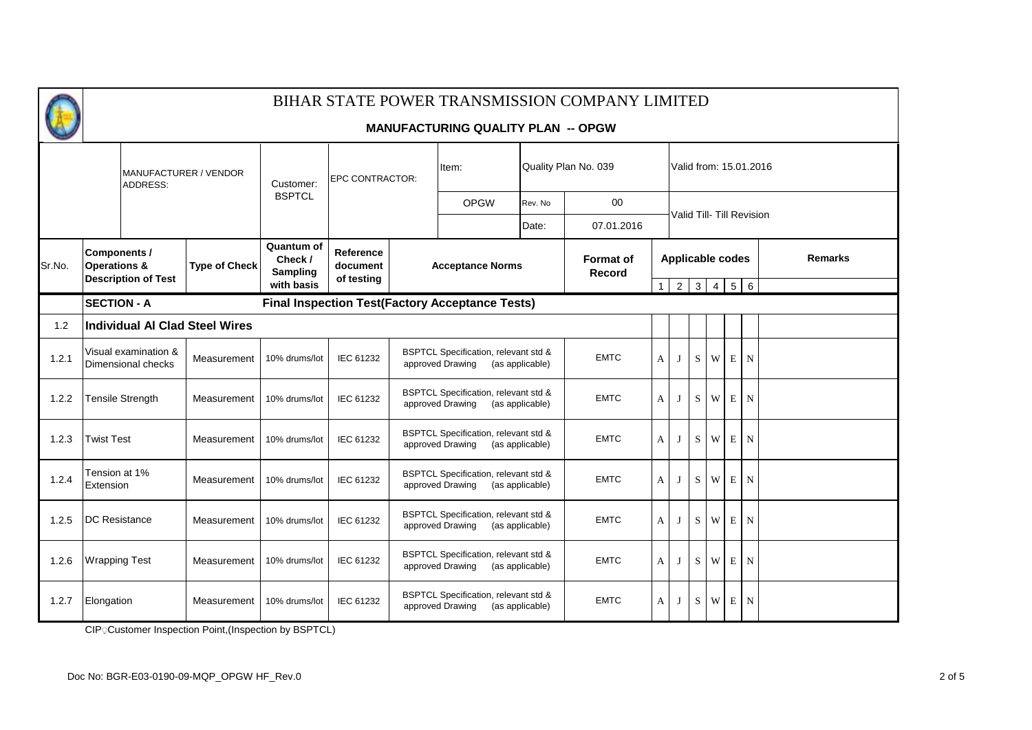### **MANUFACTURING QUALITY PLAN -- OPGW**

|        | <b>MANUFACTURER / VENDOR</b><br><b>ADDRESS:</b>                       |                                            | Customer:                      |                                                        | EPC CONTRACTOR:                     |                                                                                        | Item:                                                    |                                   | Quality Plan No. 039 |   |                                                     | Valid from: 15.01.2016 |             |             |                |  |  |  |  |
|--------|-----------------------------------------------------------------------|--------------------------------------------|--------------------------------|--------------------------------------------------------|-------------------------------------|----------------------------------------------------------------------------------------|----------------------------------------------------------|-----------------------------------|----------------------|---|-----------------------------------------------------|------------------------|-------------|-------------|----------------|--|--|--|--|
|        |                                                                       |                                            |                                | <b>BSPTCL</b>                                          |                                     |                                                                                        | <b>OPGW</b>                                              | Rev. No                           | 00                   |   |                                                     |                        |             |             |                |  |  |  |  |
|        |                                                                       |                                            |                                |                                                        |                                     |                                                                                        |                                                          | Date:                             | 07.01.2016           |   | Valid Till- Till Revision                           |                        |             |             |                |  |  |  |  |
| Sr.No. | Components /<br><b>Operations &amp;</b><br><b>Description of Test</b> |                                            | <b>Type of Check</b>           | Quantum of<br>Check /<br><b>Sampling</b><br>with basis | Reference<br>document<br>of testing |                                                                                        | <b>Acceptance Norms</b>                                  | <b>Format of</b><br><b>Record</b> |                      |   | <b>Applicable codes</b><br>$1 \mid 2 \mid 3 \mid 4$ |                        |             | $5 \quad 6$ | <b>Remarks</b> |  |  |  |  |
|        | <b>SECTION - A</b>                                                    |                                            |                                |                                                        |                                     |                                                                                        | <b>Final Inspection Test(Factory Acceptance Tests)</b>   |                                   |                      |   |                                                     |                        |             |             |                |  |  |  |  |
| 1.2    |                                                                       |                                            | Individual AI Clad Steel Wires |                                                        |                                     |                                                                                        |                                                          |                                   |                      |   |                                                     |                        |             |             |                |  |  |  |  |
| 1.2.1  |                                                                       | Visual examination &<br>Dimensional checks | Measurement                    | 10% drums/lot                                          | IEC 61232                           | BSPTCL Specification, relevant std &<br>approved Drawing                               | <b>EMTC</b>                                              | A                                 |                      | S | W                                                   | E                      | N           |             |                |  |  |  |  |
| 1.2.2  |                                                                       | Tensile Strength                           | Measurement                    | 10% drums/lot                                          | IEC 61232                           | <b>BSPTCL Specification, relevant std &amp;</b><br>approved Drawing                    | <b>EMTC</b>                                              | A                                 | J                    | S | W                                                   | E                      | N           |             |                |  |  |  |  |
| 1.2.3  | <b>Twist Test</b>                                                     |                                            | Measurement                    | 10% drums/lot                                          | IEC 61232                           |                                                                                        | BSPTCL Specification, relevant std &<br>approved Drawing | (as applicable)                   | <b>EMTC</b>          | A |                                                     | S                      | W           | $\mathbf E$ | $\mathbf N$    |  |  |  |  |
| 1.2.4  | Tension at 1%<br>Extension                                            |                                            | Measurement                    | 10% drums/lot                                          | IEC 61232                           |                                                                                        | BSPTCL Specification, relevant std &<br>approved Drawing | (as applicable)                   | <b>EMTC</b>          | A |                                                     | S                      | W           | E           | N              |  |  |  |  |
| 1.2.5  | <b>IDC</b> Resistance                                                 |                                            | Measurement                    | 10% drums/lot                                          | IEC 61232                           |                                                                                        | BSPTCL Specification, relevant std &<br>approved Drawing | (as applicable)                   | <b>EMTC</b>          | A | J                                                   | S                      | W           | E N         |                |  |  |  |  |
| 1.2.6  | <b>Wrapping Test</b>                                                  |                                            | Measurement                    | 10% drums/lot                                          | IEC 61232                           | <b>BSPTCL Specification, relevant std &amp;</b><br>approved Drawing<br>(as applicable) |                                                          |                                   | <b>EMTC</b>          | A | $\bf{I}$                                            | S                      | W           | E           | N              |  |  |  |  |
| 1.2.7  | Elongation                                                            |                                            | Measurement                    | 10% drums/lot                                          | IEC 61232                           | BSPTCL Specification, relevant std &<br>approved Drawing                               | <b>EMTC</b>                                              | A                                 | J                    | S | W                                                   | E                      | $\mathbf N$ |             |                |  |  |  |  |

CIP ַ Customer Inspection Point,(Inspection by BSPTCL)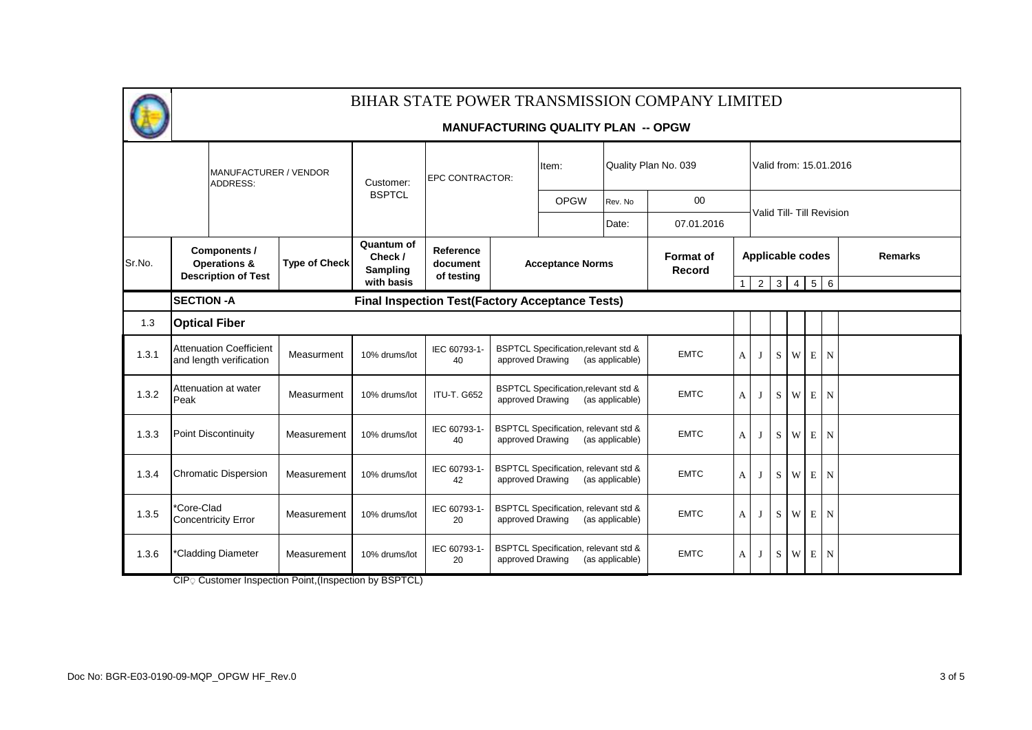

#### **MANUFACTURING QUALITY PLAN -- OPGW**

|        | MANUFACTURER / VENDOR<br>ADDRESS:                                     |  |                      | Customer:                                              | EPC CONTRACTOR:                     |                                                                                        | Item:                                                              |                            | Quality Plan No. 039 |                           |          |                 |                |   | Valid from: 15.01.2016 |  |  |
|--------|-----------------------------------------------------------------------|--|----------------------|--------------------------------------------------------|-------------------------------------|----------------------------------------------------------------------------------------|--------------------------------------------------------------------|----------------------------|----------------------|---------------------------|----------|-----------------|----------------|---|------------------------|--|--|
|        |                                                                       |  |                      | <b>BSPTCL</b>                                          |                                     |                                                                                        | <b>OPGW</b>                                                        | Rev. No                    | 00                   |                           |          |                 |                |   |                        |  |  |
|        |                                                                       |  |                      |                                                        |                                     |                                                                                        |                                                                    | Date:                      | 07.01.2016           | Valid Till- Till Revision |          |                 |                |   |                        |  |  |
| Sr.No. | Components /<br><b>Operations &amp;</b><br><b>Description of Test</b> |  | <b>Type of Check</b> | Quantum of<br>Check /<br>Sampling                      | Reference<br>document<br>of testing |                                                                                        | <b>Acceptance Norms</b>                                            | <b>Format of</b><br>Record |                      | <b>Applicable codes</b>   |          |                 |                |   | <b>Remarks</b>         |  |  |
|        |                                                                       |  |                      | with basis                                             |                                     |                                                                                        |                                                                    |                            |                      | $\mathbf{1}$              |          | $2 \mid 3 \mid$ | $\overline{4}$ |   | $5 \quad 6$            |  |  |
|        | <b>SECTION - A</b>                                                    |  |                      | <b>Final Inspection Test(Factory Acceptance Tests)</b> |                                     |                                                                                        |                                                                    |                            |                      |                           |          |                 |                |   |                        |  |  |
| 1.3    | <b>Optical Fiber</b>                                                  |  |                      |                                                        |                                     |                                                                                        |                                                                    |                            |                      |                           |          |                 |                |   |                        |  |  |
| 1.3.1  | <b>Attenuation Coefficient</b><br>and length verification             |  | Measurment           | 10% drums/lot                                          | IEC 60793-1-<br>40                  | <b>BSPTCL Specification, relevant std &amp;</b><br>approved Drawing<br>(as applicable) |                                                                    |                            | <b>EMTC</b>          | A                         | J        | S               | W              |   | E N                    |  |  |
| 1.3.2  | Attenuation at water<br>Peak                                          |  | Measurment           | 10% drums/lot                                          | <b>ITU-T. G652</b>                  | approved Drawing                                                                       | <b>BSPTCL Specification, relevant std &amp;</b><br>(as applicable) | <b>EMTC</b>                | A                    | $\bf{J}$                  | S.       | W               | E              | N |                        |  |  |
| 1.3.3  | <b>Point Discontinuity</b>                                            |  | Measurement          | 10% drums/lot                                          | IEC 60793-1-<br>40                  | approved Drawing                                                                       | <b>BSPTCL Specification, relevant std &amp;</b>                    | (as applicable)            | <b>EMTC</b>          | A                         | $\bf{J}$ | S               | W              | E | $\mathbf N$            |  |  |
| 1.3.4  | <b>Chromatic Dispersion</b>                                           |  | Measurement          | 10% drums/lot                                          | IEC 60793-1-<br>42                  | approved Drawing                                                                       | <b>BSPTCL Specification, relevant std &amp;</b>                    | (as applicable)            | <b>EMTC</b>          | A                         | $\bf{J}$ | S.              | W              | E | $\mathbf N$            |  |  |
| 1.3.5  | *Core-Clad<br><b>Concentricity Error</b>                              |  | Measurement          | 10% drums/lot                                          | IEC 60793-1-<br>20                  | <b>BSPTCL Specification, relevant std &amp;</b><br>approved Drawing<br>(as applicable) |                                                                    |                            | <b>EMTC</b>          | A                         | $\bf{J}$ | S               | W              | E | $\mathbf N$            |  |  |
| 1.3.6  | *Cladding Diameter                                                    |  | Measurement          | 10% drums/lot                                          | IEC 60793-1-<br>20                  | approved Drawing                                                                       | <b>BSPTCL Specification, relevant std &amp;</b><br>(as applicable) | <b>EMTC</b>                | A                    | $\bf{J}$                  | S        | W               | $\mathbf E$    | N |                        |  |  |

CIP 
Customer Inspection Point, (Inspection by BSPTCL)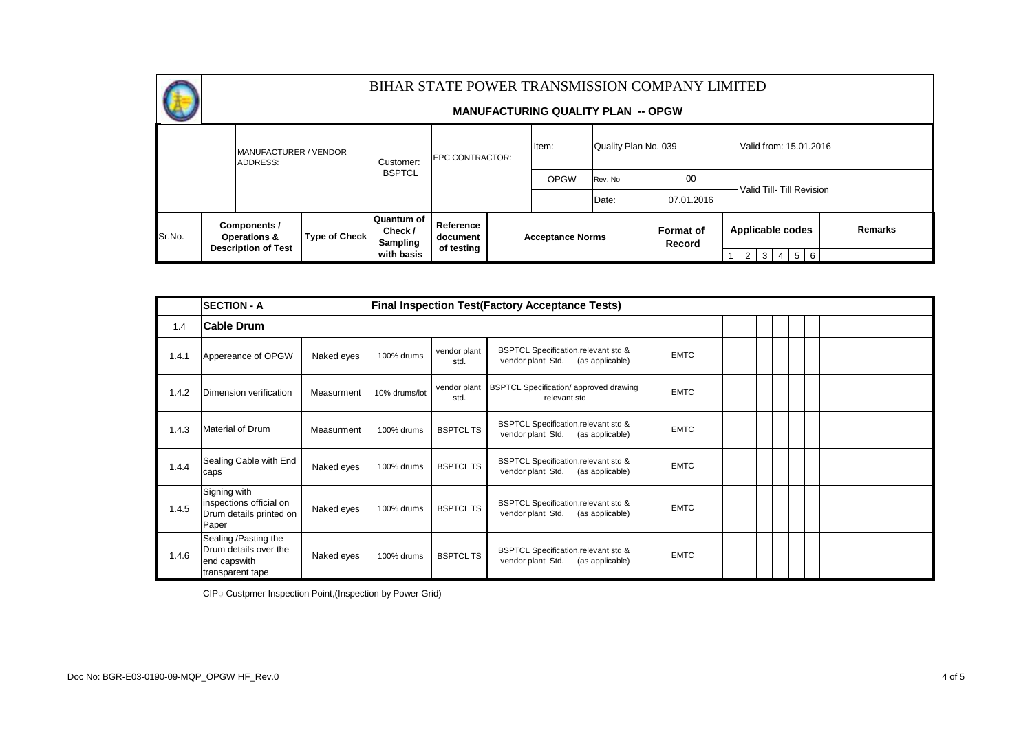

#### **MANUFACTURING QUALITY PLAN -- OPGW**

|        |  | MANUFACTURER / VENDOR<br><b>ADDRESS:</b>                        |  | Customer:                         | <b>EPC CONTRACTOR:</b> |  | Item:                   |         | Quality Plan No. 039              |                           |     |  |  | Valid from: 15.01.2016 |                |
|--------|--|-----------------------------------------------------------------|--|-----------------------------------|------------------------|--|-------------------------|---------|-----------------------------------|---------------------------|-----|--|--|------------------------|----------------|
|        |  |                                                                 |  | <b>BSPTCL</b>                     |                        |  | <b>OPGW</b>             | Rev. No | 00                                | Valid Till- Till Revision |     |  |  |                        |                |
|        |  |                                                                 |  |                                   |                        |  |                         | Date:   | 07.01.2016                        |                           |     |  |  |                        |                |
| Sr.No. |  | Components /<br><b>Type of Check</b><br><b>Operations &amp;</b> |  | Quantum of<br>Check /<br>Sampling | Reference<br>document  |  | <b>Acceptance Norms</b> |         | <b>Format of</b><br><b>Record</b> | Applicable codes          |     |  |  |                        | <b>Remarks</b> |
|        |  | <b>Description of Test</b>                                      |  | with basis                        | of testing             |  |                         |         |                                   | 2                         | 3 I |  |  | $4 \mid 5 \mid 6$      |                |

|       | <b>SECTION - A</b>                                                                |            |               |                      | <b>Final Inspection Test (Factory Acceptance Tests)</b>                      |             |  |  |
|-------|-----------------------------------------------------------------------------------|------------|---------------|----------------------|------------------------------------------------------------------------------|-------------|--|--|
| 1.4   | <b>Cable Drum</b>                                                                 |            |               |                      |                                                                              |             |  |  |
| 1.4.1 | Appereance of OPGW                                                                | Naked eyes | 100% drums    | vendor plant<br>std. | BSPTCL Specification, relevant std &<br>vendor plant Std.<br>(as applicable) | <b>EMTC</b> |  |  |
| 1.4.2 | Dimension verification                                                            | Measurment | 10% drums/lot | vendor plant<br>std. | <b>BSPTCL Specification/ approved drawing</b><br>relevant std                | <b>EMTC</b> |  |  |
| 1.4.3 | Material of Drum                                                                  | Measurment | 100% drums    | <b>BSPTCL TS</b>     | BSPTCL Specification, relevant std &<br>vendor plant Std.<br>(as applicable) | <b>EMTC</b> |  |  |
| 1.4.4 | Sealing Cable with End<br>caps                                                    | Naked eyes | 100% drums    | <b>BSPTCL TS</b>     | BSPTCL Specification, relevant std &<br>vendor plant Std.<br>(as applicable) | <b>EMTC</b> |  |  |
| 1.4.5 | Signing with<br>inspections official on<br>Drum details printed on<br>Paper       | Naked eyes | 100% drums    | <b>BSPTCL TS</b>     | BSPTCL Specification, relevant std &<br>vendor plant Std.<br>(as applicable) | <b>EMTC</b> |  |  |
| 1.4.6 | Sealing /Pasting the<br>Drum details over the<br>end capswith<br>transparent tape | Naked eyes | 100% drums    | <b>BSPTCL TS</b>     | BSPTCL Specification, relevant std &<br>vendor plant Std.<br>(as applicable) | <b>EMTC</b> |  |  |

CIP © Custpmer Inspection Point, (Inspection by Power Grid)